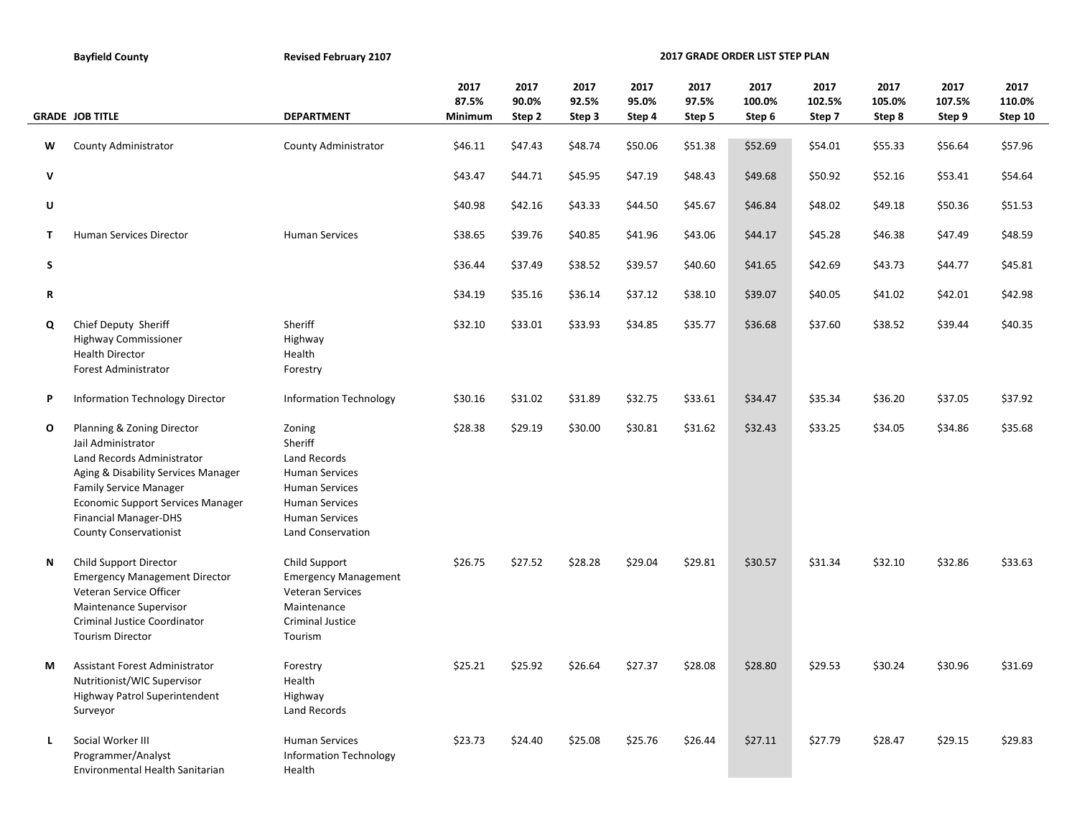|    | <b>Bayfield County</b>                                                                                                                                                                                                                                              | <b>Revised February 2107</b>                                                                                                                               | 2017 GRADE ORDER LIST STEP PLAN |                         |                         |                         |                         |                          |                          |                          |                          |                           |  |
|----|---------------------------------------------------------------------------------------------------------------------------------------------------------------------------------------------------------------------------------------------------------------------|------------------------------------------------------------------------------------------------------------------------------------------------------------|---------------------------------|-------------------------|-------------------------|-------------------------|-------------------------|--------------------------|--------------------------|--------------------------|--------------------------|---------------------------|--|
|    | <b>GRADE JOB TITLE</b>                                                                                                                                                                                                                                              | <b>DEPARTMENT</b>                                                                                                                                          | 2017<br>87.5%<br>Minimum        | 2017<br>90.0%<br>Step 2 | 2017<br>92.5%<br>Step 3 | 2017<br>95.0%<br>Step 4 | 2017<br>97.5%<br>Step 5 | 2017<br>100.0%<br>Step 6 | 2017<br>102.5%<br>Step 7 | 2017<br>105.0%<br>Step 8 | 2017<br>107.5%<br>Step 9 | 2017<br>110.0%<br>Step 10 |  |
| W  | County Administrator                                                                                                                                                                                                                                                | County Administrator                                                                                                                                       | \$46.11                         | \$47.43                 | \$48.74                 | \$50.06                 | \$51.38                 | \$52.69                  | \$54.01                  | \$55.33                  | \$56.64                  | \$57.96                   |  |
| V  |                                                                                                                                                                                                                                                                     |                                                                                                                                                            | \$43.47                         | \$44.71                 | \$45.95                 | \$47.19                 | \$48.43                 | \$49.68                  | \$50.92                  | \$52.16                  | \$53.41                  | \$54.64                   |  |
| U  |                                                                                                                                                                                                                                                                     |                                                                                                                                                            | \$40.98                         | \$42.16                 | \$43.33                 | \$44.50                 | \$45.67                 | \$46.84                  | \$48.02                  | \$49.18                  | \$50.36                  | \$51.53                   |  |
| т  | Human Services Director                                                                                                                                                                                                                                             | <b>Human Services</b>                                                                                                                                      | \$38.65                         | \$39.76                 | \$40.85                 | \$41.96                 | \$43.06                 | \$44.17                  | \$45.28                  | \$46.38                  | \$47.49                  | \$48.59                   |  |
| S  |                                                                                                                                                                                                                                                                     |                                                                                                                                                            | \$36.44                         | \$37.49                 | \$38.52                 | \$39.57                 | \$40.60                 | \$41.65                  | \$42.69                  | \$43.73                  | \$44.77                  | \$45.81                   |  |
| R  |                                                                                                                                                                                                                                                                     |                                                                                                                                                            | \$34.19                         | \$35.16                 | \$36.14                 | \$37.12                 | \$38.10                 | \$39.07                  | \$40.05                  | \$41.02                  | \$42.01                  | \$42.98                   |  |
| Q  | Chief Deputy Sheriff<br><b>Highway Commissioner</b><br><b>Health Director</b><br>Forest Administrator                                                                                                                                                               | Sheriff<br>Highway<br>Health<br>Forestry                                                                                                                   | \$32.10                         | \$33.01                 | \$33.93                 | \$34.85                 | \$35.77                 | \$36.68                  | \$37.60                  | \$38.52                  | \$39.44                  | \$40.35                   |  |
| Ρ  | Information Technology Director                                                                                                                                                                                                                                     | <b>Information Technology</b>                                                                                                                              | \$30.16                         | \$31.02                 | \$31.89                 | \$32.75                 | \$33.61                 | \$34.47                  | \$35.34                  | \$36.20                  | \$37.05                  | \$37.92                   |  |
| O  | Planning & Zoning Director<br>Jail Administrator<br>Land Records Administrator<br>Aging & Disability Services Manager<br><b>Family Service Manager</b><br><b>Economic Support Services Manager</b><br><b>Financial Manager-DHS</b><br><b>County Conservationist</b> | Zoning<br>Sheriff<br>Land Records<br><b>Human Services</b><br><b>Human Services</b><br><b>Human Services</b><br><b>Human Services</b><br>Land Conservation | \$28.38                         | \$29.19                 | \$30.00                 | \$30.81                 | \$31.62                 | \$32.43                  | \$33.25                  | \$34.05                  | \$34.86                  | \$35.68                   |  |
| Ν  | Child Support Director<br><b>Emergency Management Director</b><br>Veteran Service Officer<br>Maintenance Supervisor<br>Criminal Justice Coordinator<br><b>Tourism Director</b>                                                                                      | Child Support<br><b>Emergency Management</b><br>Veteran Services<br>Maintenance<br><b>Criminal Justice</b><br>Tourism                                      | \$26.75                         | \$27.52                 | \$28.28                 | \$29.04                 | \$29.81                 | \$30.57                  | \$31.34                  | \$32.10                  | \$32.86                  | \$33.63                   |  |
| М  | Assistant Forest Administrator<br>Nutritionist/WIC Supervisor<br>Highway Patrol Superintendent<br>Surveyor                                                                                                                                                          | Forestry<br>Health<br>Highway<br>Land Records                                                                                                              | \$25.21                         | \$25.92                 | \$26.64                 | \$27.37                 | \$28.08                 | \$28.80                  | \$29.53                  | \$30.24                  | \$30.96                  | \$31.69                   |  |
| L. | Social Worker III<br>Programmer/Analyst<br>Environmental Health Sanitarian                                                                                                                                                                                          | <b>Human Services</b><br><b>Information Technology</b><br>Health                                                                                           | \$23.73                         | \$24.40                 | \$25.08                 | \$25.76                 | \$26.44                 | \$27.11                  | \$27.79                  | \$28.47                  | \$29.15                  | \$29.83                   |  |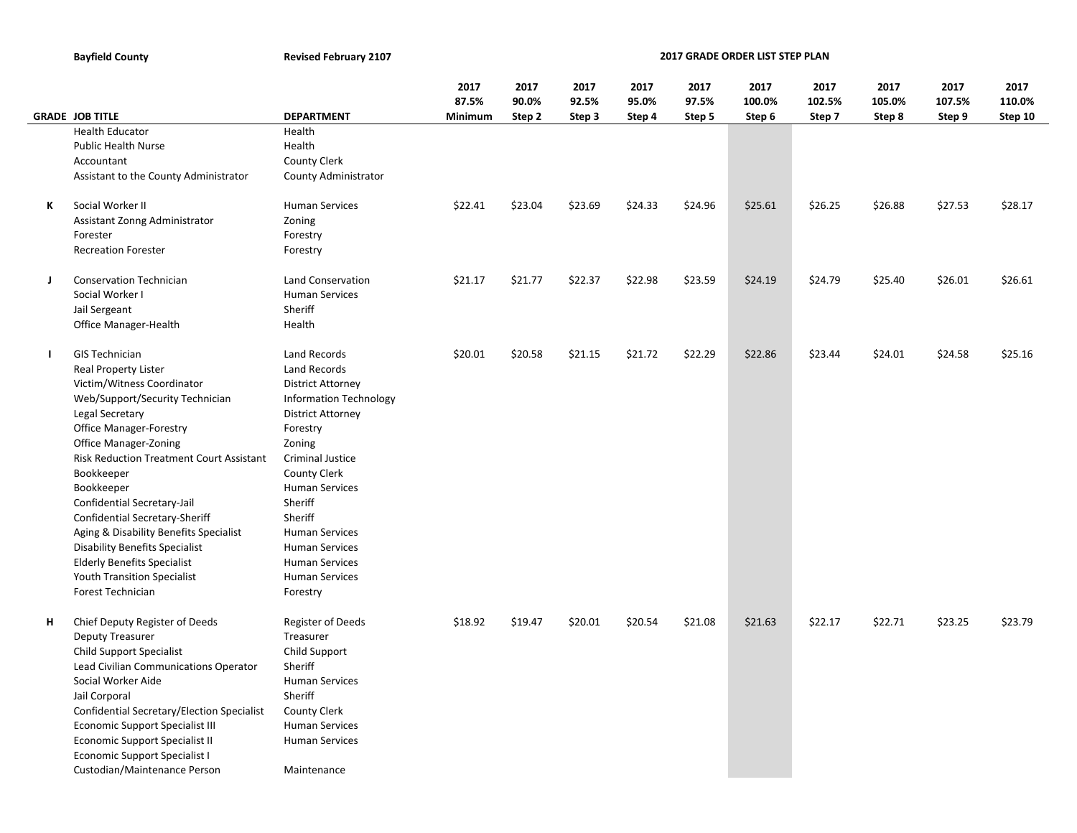**Bayfield County Revised February 2107** 

**2017 GRADE ORDER LIST STEP PLAN**

|              |                                                 |                               | 2017    | 2017    | 2017    | 2017    | 2017    | 2017    | 2017    | 2017    | 2017    | 2017    |
|--------------|-------------------------------------------------|-------------------------------|---------|---------|---------|---------|---------|---------|---------|---------|---------|---------|
|              |                                                 |                               | 87.5%   | 90.0%   | 92.5%   | 95.0%   | 97.5%   | 100.0%  | 102.5%  | 105.0%  | 107.5%  | 110.0%  |
|              | <b>GRADE JOB TITLE</b>                          | <b>DEPARTMENT</b>             | Minimum | Step 2  | Step 3  | Step 4  | Step 5  | Step 6  | Step 7  | Step 8  | Step 9  | Step 10 |
|              | <b>Health Educator</b>                          | Health                        |         |         |         |         |         |         |         |         |         |         |
|              | <b>Public Health Nurse</b>                      | Health                        |         |         |         |         |         |         |         |         |         |         |
|              | Accountant                                      | <b>County Clerk</b>           |         |         |         |         |         |         |         |         |         |         |
|              | Assistant to the County Administrator           | County Administrator          |         |         |         |         |         |         |         |         |         |         |
|              |                                                 |                               |         |         |         |         |         |         |         |         |         |         |
| К            | Social Worker II                                | <b>Human Services</b>         | \$22.41 | \$23.04 | \$23.69 | \$24.33 | \$24.96 | \$25.61 | \$26.25 | \$26.88 | \$27.53 | \$28.17 |
|              | Assistant Zonng Administrator                   | Zoning                        |         |         |         |         |         |         |         |         |         |         |
|              | Forester                                        | Forestry                      |         |         |         |         |         |         |         |         |         |         |
|              | <b>Recreation Forester</b>                      | Forestry                      |         |         |         |         |         |         |         |         |         |         |
|              |                                                 |                               |         |         |         |         |         |         |         |         |         |         |
| J            | <b>Conservation Technician</b>                  | <b>Land Conservation</b>      | \$21.17 | \$21.77 | \$22.37 | \$22.98 | \$23.59 | \$24.19 | \$24.79 | \$25.40 | \$26.01 | \$26.61 |
|              | Social Worker I                                 | <b>Human Services</b>         |         |         |         |         |         |         |         |         |         |         |
|              | Jail Sergeant                                   | Sheriff                       |         |         |         |         |         |         |         |         |         |         |
|              | <b>Office Manager-Health</b>                    | Health                        |         |         |         |         |         |         |         |         |         |         |
|              |                                                 |                               |         |         |         |         |         |         |         |         |         |         |
| $\mathbf{I}$ | <b>GIS Technician</b>                           | <b>Land Records</b>           | \$20.01 | \$20.58 | \$21.15 | \$21.72 | \$22.29 | \$22.86 | \$23.44 | \$24.01 | \$24.58 | \$25.16 |
|              | <b>Real Property Lister</b>                     | <b>Land Records</b>           |         |         |         |         |         |         |         |         |         |         |
|              | Victim/Witness Coordinator                      | <b>District Attorney</b>      |         |         |         |         |         |         |         |         |         |         |
|              | Web/Support/Security Technician                 | <b>Information Technology</b> |         |         |         |         |         |         |         |         |         |         |
|              | Legal Secretary                                 | <b>District Attorney</b>      |         |         |         |         |         |         |         |         |         |         |
|              | <b>Office Manager-Forestry</b>                  | Forestry                      |         |         |         |         |         |         |         |         |         |         |
|              | Office Manager-Zoning                           | Zoning                        |         |         |         |         |         |         |         |         |         |         |
|              | <b>Risk Reduction Treatment Court Assistant</b> | <b>Criminal Justice</b>       |         |         |         |         |         |         |         |         |         |         |
|              | Bookkeeper                                      | <b>County Clerk</b>           |         |         |         |         |         |         |         |         |         |         |
|              | Bookkeeper                                      | <b>Human Services</b>         |         |         |         |         |         |         |         |         |         |         |
|              | Confidential Secretary-Jail                     | Sheriff                       |         |         |         |         |         |         |         |         |         |         |
|              | Confidential Secretary-Sheriff                  | Sheriff                       |         |         |         |         |         |         |         |         |         |         |
|              | Aging & Disability Benefits Specialist          | <b>Human Services</b>         |         |         |         |         |         |         |         |         |         |         |
|              | <b>Disability Benefits Specialist</b>           | <b>Human Services</b>         |         |         |         |         |         |         |         |         |         |         |
|              | <b>Elderly Benefits Specialist</b>              | <b>Human Services</b>         |         |         |         |         |         |         |         |         |         |         |
|              | <b>Youth Transition Specialist</b>              | <b>Human Services</b>         |         |         |         |         |         |         |         |         |         |         |
|              | Forest Technician                               | Forestry                      |         |         |         |         |         |         |         |         |         |         |
|              |                                                 |                               |         |         |         |         |         |         |         |         |         |         |
| н            | Chief Deputy Register of Deeds                  | Register of Deeds             | \$18.92 | \$19.47 | \$20.01 | \$20.54 | \$21.08 | \$21.63 | \$22.17 | \$22.71 | \$23.25 | \$23.79 |
|              | <b>Deputy Treasurer</b>                         | Treasurer                     |         |         |         |         |         |         |         |         |         |         |
|              | <b>Child Support Specialist</b>                 | Child Support                 |         |         |         |         |         |         |         |         |         |         |
|              | Lead Civilian Communications Operator           | Sheriff                       |         |         |         |         |         |         |         |         |         |         |
|              | Social Worker Aide                              | <b>Human Services</b>         |         |         |         |         |         |         |         |         |         |         |
|              | Jail Corporal                                   | Sheriff                       |         |         |         |         |         |         |         |         |         |         |
|              | Confidential Secretary/Election Specialist      | <b>County Clerk</b>           |         |         |         |         |         |         |         |         |         |         |
|              | <b>Economic Support Specialist III</b>          | <b>Human Services</b>         |         |         |         |         |         |         |         |         |         |         |
|              | <b>Economic Support Specialist II</b>           | <b>Human Services</b>         |         |         |         |         |         |         |         |         |         |         |
|              | <b>Economic Support Specialist I</b>            |                               |         |         |         |         |         |         |         |         |         |         |
|              | Custodian/Maintenance Person                    | Maintenance                   |         |         |         |         |         |         |         |         |         |         |
|              |                                                 |                               |         |         |         |         |         |         |         |         |         |         |